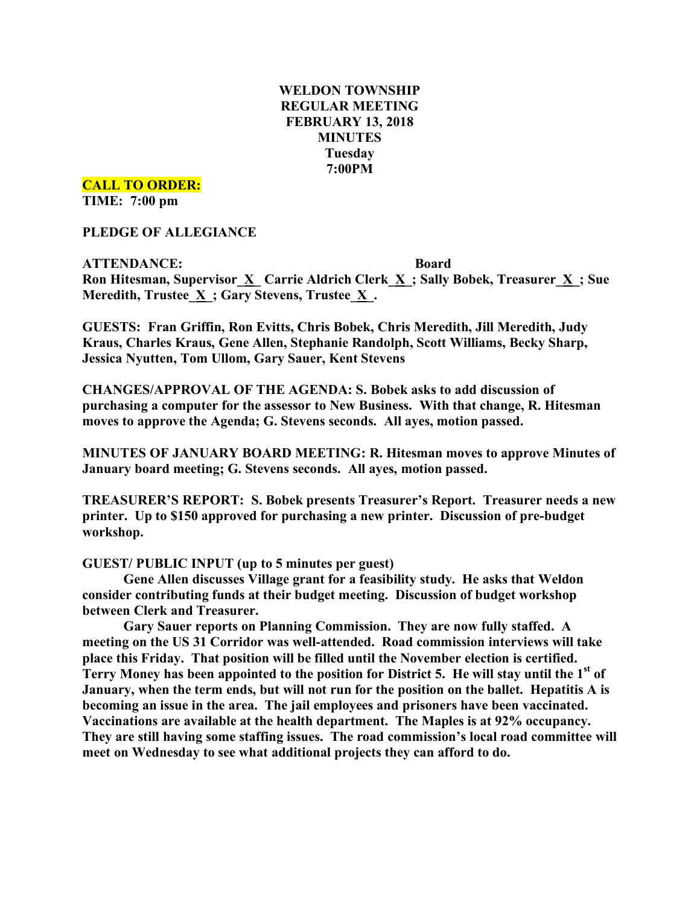## **WELDON TOWNSHIP REGULAR MEETING FEBRUARY 13, 2018 MINUTES Tuesday 7:00PM**

**CALL TO ORDER:**

**TIME: 7:00 pm**

**PLEDGE OF ALLEGIANCE**

**ATTENDANCE: Board Ron Hitesman, Supervisor\_X\_ Carrie Aldrich Clerk\_X\_; Sally Bobek, Treasurer\_X\_; Sue Meredith, Trustee\_X\_; Gary Stevens, Trustee\_X\_.**

**GUESTS: Fran Griffin, Ron Evitts, Chris Bobek, Chris Meredith, Jill Meredith, Judy Kraus, Charles Kraus, Gene Allen, Stephanie Randolph, Scott Williams, Becky Sharp, Jessica Nyutten, Tom Ullom, Gary Sauer, Kent Stevens**

**CHANGES/APPROVAL OF THE AGENDA: S. Bobek asks to add discussion of purchasing a computer for the assessor to New Business. With that change, R. Hitesman moves to approve the Agenda; G. Stevens seconds. All ayes, motion passed.**

**MINUTES OF JANUARY BOARD MEETING: R. Hitesman moves to approve Minutes of January board meeting; G. Stevens seconds. All ayes, motion passed.**

**TREASURER'S REPORT: S. Bobek presents Treasurer's Report. Treasurer needs a new printer. Up to \$150 approved for purchasing a new printer. Discussion of pre-budget workshop.**

**GUEST/ PUBLIC INPUT (up to 5 minutes per guest)**

**Gene Allen discusses Village grant for a feasibility study. He asks that Weldon consider contributing funds at their budget meeting. Discussion of budget workshop between Clerk and Treasurer.**

**Gary Sauer reports on Planning Commission. They are now fully staffed. A meeting on the US 31 Corridor was well-attended. Road commission interviews will take place this Friday. That position will be filled until the November election is certified. Terry Money has been appointed to the position for District 5. He will stay until the 1st of January, when the term ends, but will not run for the position on the ballet. Hepatitis A is becoming an issue in the area. The jail employees and prisoners have been vaccinated. Vaccinations are available at the health department. The Maples is at 92% occupancy. They are still having some staffing issues. The road commission's local road committee will meet on Wednesday to see what additional projects they can afford to do.**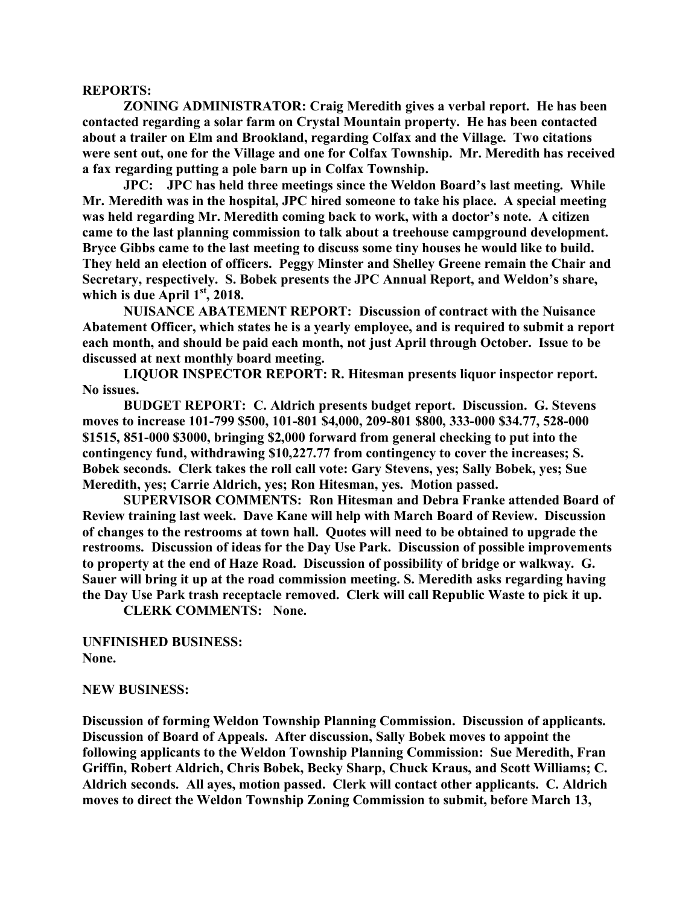## **REPORTS:**

**ZONING ADMINISTRATOR: Craig Meredith gives a verbal report. He has been contacted regarding a solar farm on Crystal Mountain property. He has been contacted about a trailer on Elm and Brookland, regarding Colfax and the Village. Two citations were sent out, one for the Village and one for Colfax Township. Mr. Meredith has received a fax regarding putting a pole barn up in Colfax Township.**

**JPC: JPC has held three meetings since the Weldon Board's last meeting. While Mr. Meredith was in the hospital, JPC hired someone to take his place. A special meeting was held regarding Mr. Meredith coming back to work, with a doctor's note. A citizen came to the last planning commission to talk about a treehouse campground development. Bryce Gibbs came to the last meeting to discuss some tiny houses he would like to build. They held an election of officers. Peggy Minster and Shelley Greene remain the Chair and Secretary, respectively. S. Bobek presents the JPC Annual Report, and Weldon's share, which is due April 1st , 2018.**

**NUISANCE ABATEMENT REPORT: Discussion of contract with the Nuisance Abatement Officer, which states he is a yearly employee, and is required to submit a report each month, and should be paid each month, not just April through October. Issue to be discussed at next monthly board meeting.**

**LIQUOR INSPECTOR REPORT: R. Hitesman presents liquor inspector report. No issues.**

**BUDGET REPORT: C. Aldrich presents budget report. Discussion. G. Stevens moves to increase 101-799 \$500, 101-801 \$4,000, 209-801 \$800, 333-000 \$34.77, 528-000 \$1515, 851-000 \$3000, bringing \$2,000 forward from general checking to put into the contingency fund, withdrawing \$10,227.77 from contingency to cover the increases; S. Bobek seconds. Clerk takes the roll call vote: Gary Stevens, yes; Sally Bobek, yes; Sue Meredith, yes; Carrie Aldrich, yes; Ron Hitesman, yes. Motion passed.**

**SUPERVISOR COMMENTS: Ron Hitesman and Debra Franke attended Board of Review training last week. Dave Kane will help with March Board of Review. Discussion of changes to the restrooms at town hall. Quotes will need to be obtained to upgrade the restrooms. Discussion of ideas for the Day Use Park. Discussion of possible improvements to property at the end of Haze Road. Discussion of possibility of bridge or walkway. G. Sauer will bring it up at the road commission meeting. S. Meredith asks regarding having the Day Use Park trash receptacle removed. Clerk will call Republic Waste to pick it up.**

**CLERK COMMENTS: None.**

**UNFINISHED BUSINESS: None.**

## **NEW BUSINESS:**

**Discussion of forming Weldon Township Planning Commission. Discussion of applicants. Discussion of Board of Appeals. After discussion, Sally Bobek moves to appoint the following applicants to the Weldon Township Planning Commission: Sue Meredith, Fran Griffin, Robert Aldrich, Chris Bobek, Becky Sharp, Chuck Kraus, and Scott Williams; C. Aldrich seconds. All ayes, motion passed. Clerk will contact other applicants. C. Aldrich moves to direct the Weldon Township Zoning Commission to submit, before March 13,**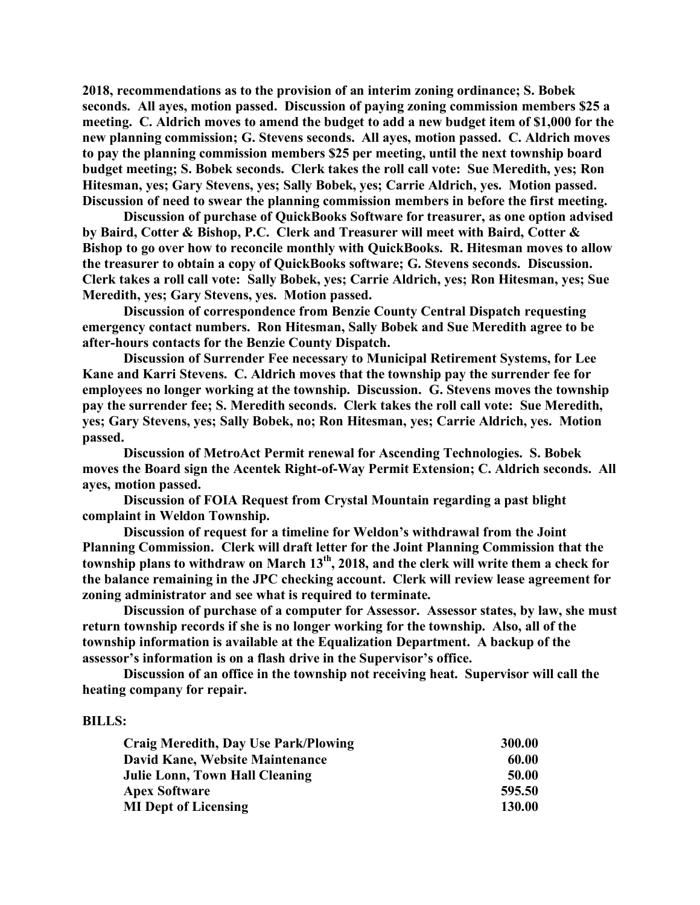**2018, recommendations as to the provision of an interim zoning ordinance; S. Bobek seconds. All ayes, motion passed. Discussion of paying zoning commission members \$25 a meeting. C. Aldrich moves to amend the budget to add a new budget item of \$1,000 for the new planning commission; G. Stevens seconds. All ayes, motion passed. C. Aldrich moves to pay the planning commission members \$25 per meeting, until the next township board budget meeting; S. Bobek seconds. Clerk takes the roll call vote: Sue Meredith, yes; Ron Hitesman, yes; Gary Stevens, yes; Sally Bobek, yes; Carrie Aldrich, yes. Motion passed. Discussion of need to swear the planning commission members in before the first meeting.**

**Discussion of purchase of QuickBooks Software for treasurer, as one option advised by Baird, Cotter & Bishop, P.C. Clerk and Treasurer will meet with Baird, Cotter & Bishop to go over how to reconcile monthly with QuickBooks. R. Hitesman moves to allow the treasurer to obtain a copy of QuickBooks software; G. Stevens seconds. Discussion. Clerk takes a roll call vote: Sally Bobek, yes; Carrie Aldrich, yes; Ron Hitesman, yes; Sue Meredith, yes; Gary Stevens, yes. Motion passed.**

**Discussion of correspondence from Benzie County Central Dispatch requesting emergency contact numbers. Ron Hitesman, Sally Bobek and Sue Meredith agree to be after-hours contacts for the Benzie County Dispatch.**

**Discussion of Surrender Fee necessary to Municipal Retirement Systems, for Lee Kane and Karri Stevens. C. Aldrich moves that the township pay the surrender fee for employees no longer working at the township. Discussion. G. Stevens moves the township pay the surrender fee; S. Meredith seconds. Clerk takes the roll call vote: Sue Meredith, yes; Gary Stevens, yes; Sally Bobek, no; Ron Hitesman, yes; Carrie Aldrich, yes. Motion passed.**

**Discussion of MetroAct Permit renewal for Ascending Technologies. S. Bobek moves the Board sign the Acentek Right-of-Way Permit Extension; C. Aldrich seconds. All ayes, motion passed.**

**Discussion of FOIA Request from Crystal Mountain regarding a past blight complaint in Weldon Township.**

**Discussion of request for a timeline for Weldon's withdrawal from the Joint Planning Commission. Clerk will draft letter for the Joint Planning Commission that the township plans to withdraw on March 13th, 2018, and the clerk will write them a check for the balance remaining in the JPC checking account. Clerk will review lease agreement for zoning administrator and see what is required to terminate.**

**Discussion of purchase of a computer for Assessor. Assessor states, by law, she must return township records if she is no longer working for the township. Also, all of the township information is available at the Equalization Department. A backup of the assessor's information is on a flash drive in the Supervisor's office.**

**Discussion of an office in the township not receiving heat. Supervisor will call the heating company for repair.**

## **BILLS:**

| Craig Meredith, Day Use Park/Plowing | 300.00        |
|--------------------------------------|---------------|
| David Kane, Website Maintenance      | 60.00         |
| Julie Lonn, Town Hall Cleaning       | 50.00         |
| <b>Apex Software</b>                 | 595.50        |
| <b>MI Dept of Licensing</b>          | <b>130.00</b> |